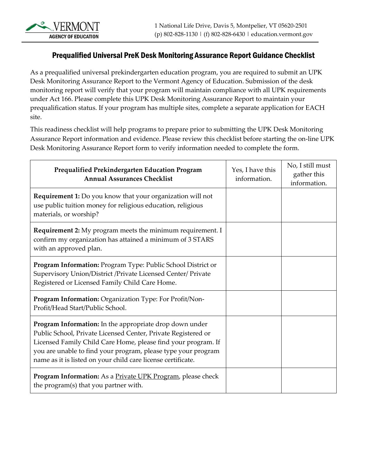## Prequalified Universal PreK Desk Monitoring Assurance Report Guidance Checklist

As a prequalified universal prekindergarten education program, you are required to submit an UPK Desk Monitoring Assurance Report to the Vermont Agency of Education. Submission of the desk monitoring report will verify that your program will maintain compliance with all UPK requirements under Act 166. Please complete this UPK Desk Monitoring Assurance Report to maintain your prequalification status. If your program has multiple sites, complete a separate application for EACH site.

This readiness checklist will help programs to prepare prior to submitting the UPK Desk Monitoring Assurance Report information and evidence. Please review this checklist before starting the on-line UPK Desk Monitoring Assurance Report form to verify information needed to complete the form.

| Prequalified Prekindergarten Education Program<br><b>Annual Assurances Checklist</b>                                                                                                                                                                                                                                       | Yes, I have this<br>information. | No, I still must<br>gather this<br>information. |
|----------------------------------------------------------------------------------------------------------------------------------------------------------------------------------------------------------------------------------------------------------------------------------------------------------------------------|----------------------------------|-------------------------------------------------|
| <b>Requirement 1:</b> Do you know that your organization will not<br>use public tuition money for religious education, religious<br>materials, or worship?                                                                                                                                                                 |                                  |                                                 |
| Requirement 2: My program meets the minimum requirement. I<br>confirm my organization has attained a minimum of 3 STARS<br>with an approved plan.                                                                                                                                                                          |                                  |                                                 |
| Program Information: Program Type: Public School District or<br>Supervisory Union/District /Private Licensed Center/ Private<br>Registered or Licensed Family Child Care Home.                                                                                                                                             |                                  |                                                 |
| Program Information: Organization Type: For Profit/Non-<br>Profit/Head Start/Public School.                                                                                                                                                                                                                                |                                  |                                                 |
| Program Information: In the appropriate drop down under<br>Public School, Private Licensed Center, Private Registered or<br>Licensed Family Child Care Home, please find your program. If<br>you are unable to find your program, please type your program<br>name as it is listed on your child care license certificate. |                                  |                                                 |
| Program Information: As a Private UPK Program, please check<br>the program(s) that you partner with.                                                                                                                                                                                                                       |                                  |                                                 |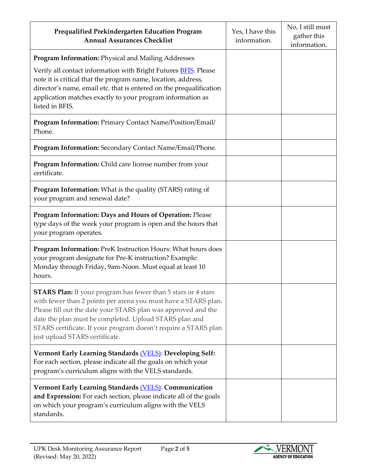| Prequalified Prekindergarten Education Program<br><b>Annual Assurances Checklist</b>                                                                                                                                                                                                                                                                                   | Yes, I have this<br>information. | No, I still must<br>gather this<br>information. |
|------------------------------------------------------------------------------------------------------------------------------------------------------------------------------------------------------------------------------------------------------------------------------------------------------------------------------------------------------------------------|----------------------------------|-------------------------------------------------|
| <b>Program Information: Physical and Mailing Addresses</b>                                                                                                                                                                                                                                                                                                             |                                  |                                                 |
| Verify all contact information with Bright Futures <b>BFIS</b> . Please<br>note it is critical that the program name, location, address,<br>director's name, email etc. that is entered on the prequalification<br>application matches exactly to your program information as<br>listed in BFIS.                                                                       |                                  |                                                 |
| Program Information: Primary Contact Name/Position/Email/<br>Phone.                                                                                                                                                                                                                                                                                                    |                                  |                                                 |
| Program Information: Secondary Contact Name/Email/Phone.                                                                                                                                                                                                                                                                                                               |                                  |                                                 |
| Program Information: Child care license number from your<br>certificate.                                                                                                                                                                                                                                                                                               |                                  |                                                 |
| Program Information: What is the quality (STARS) rating of<br>your program and renewal date?                                                                                                                                                                                                                                                                           |                                  |                                                 |
| Program Information: Days and Hours of Operation: Please<br>type days of the week your program is open and the hours that<br>your program operates.                                                                                                                                                                                                                    |                                  |                                                 |
| Program Information: PreK Instruction Hours: What hours does<br>your program designate for Pre-K instruction? Example:<br>Monday through Friday, 9am-Noon. Must equal at least 10<br>hours.                                                                                                                                                                            |                                  |                                                 |
| <b>STARS Plan:</b> If your program has fewer than 5 stars or 4 stars<br>with fewer than 2 points per arena you must have a STARS plan.<br>Please fill out the date your STARS plan was approved and the<br>date the plan must be completed. Upload STARS plan and<br>STARS certificate. If your program doesn't require a STARS plan<br>just upload STARS certificate. |                                  |                                                 |
| Vermont Early Learning Standards (VELS): Developing Self:<br>For each section, please indicate all the goals on which your<br>program's curriculum aligns with the VELS standards.                                                                                                                                                                                     |                                  |                                                 |
| <b>Vermont Early Learning Standards (VELS): Communication</b><br>and Expression: For each section, please indicate all of the goals<br>on which your program's curriculum aligns with the VELS<br>standards.                                                                                                                                                           |                                  |                                                 |

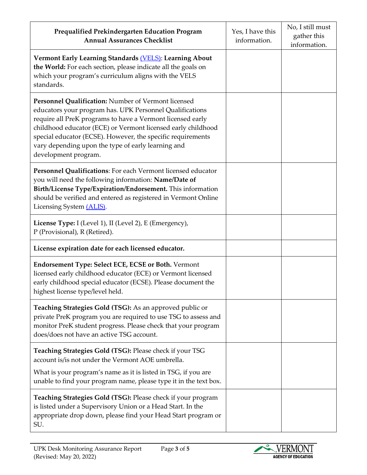| Prequalified Prekindergarten Education Program<br><b>Annual Assurances Checklist</b>                                                                                                                                                                                                                                                                                                       | Yes, I have this<br>information. | No, I still must<br>gather this<br>information. |
|--------------------------------------------------------------------------------------------------------------------------------------------------------------------------------------------------------------------------------------------------------------------------------------------------------------------------------------------------------------------------------------------|----------------------------------|-------------------------------------------------|
| Vermont Early Learning Standards (VELS): Learning About<br>the World: For each section, please indicate all the goals on<br>which your program's curriculum aligns with the VELS<br>standards.                                                                                                                                                                                             |                                  |                                                 |
| Personnel Qualification: Number of Vermont licensed<br>educators your program has. UPK Personnel Qualifications<br>require all PreK programs to have a Vermont licensed early<br>childhood educator (ECE) or Vermont licensed early childhood<br>special educator (ECSE). However, the specific requirements<br>vary depending upon the type of early learning and<br>development program. |                                  |                                                 |
| Personnel Qualifications: For each Vermont licensed educator<br>you will need the following information: Name/Date of<br>Birth/License Type/Expiration/Endorsement. This information<br>should be verified and entered as registered in Vermont Online<br>Licensing System (ALIS).                                                                                                         |                                  |                                                 |
| License Type: I (Level 1), II (Level 2), E (Emergency),<br>P (Provisional), R (Retired).                                                                                                                                                                                                                                                                                                   |                                  |                                                 |
| License expiration date for each licensed educator.                                                                                                                                                                                                                                                                                                                                        |                                  |                                                 |
| <b>Endorsement Type: Select ECE, ECSE or Both. Vermont</b><br>licensed early childhood educator (ECE) or Vermont licensed<br>early childhood special educator (ECSE). Please document the<br>highest license type/level held.                                                                                                                                                              |                                  |                                                 |
| <b>Teaching Strategies Gold (TSG):</b> As an approved public or<br>private PreK program you are required to use TSG to assess and<br>monitor PreK student progress. Please check that your program<br>does/does not have an active TSG account.                                                                                                                                            |                                  |                                                 |
| Teaching Strategies Gold (TSG): Please check if your TSG<br>account is/is not under the Vermont AOE umbrella.                                                                                                                                                                                                                                                                              |                                  |                                                 |
| What is your program's name as it is listed in TSG, if you are<br>unable to find your program name, please type it in the text box.                                                                                                                                                                                                                                                        |                                  |                                                 |
| Teaching Strategies Gold (TSG): Please check if your program<br>is listed under a Supervisory Union or a Head Start. In the<br>appropriate drop down, please find your Head Start program or<br>SU.                                                                                                                                                                                        |                                  |                                                 |

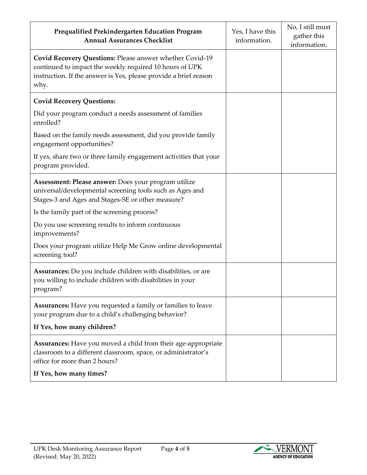| Prequalified Prekindergarten Education Program<br><b>Annual Assurances Checklist</b>                                                                                                                   | Yes, I have this<br>information. | No, I still must<br>gather this<br>information. |
|--------------------------------------------------------------------------------------------------------------------------------------------------------------------------------------------------------|----------------------------------|-------------------------------------------------|
| <b>Covid Recovery Questions: Please answer whether Covid-19</b><br>continued to impact the weekly required 10 hours of UPK<br>instruction. If the answer is Yes, please provide a brief reason<br>why. |                                  |                                                 |
| <b>Covid Recovery Questions:</b>                                                                                                                                                                       |                                  |                                                 |
| Did your program conduct a needs assessment of families<br>enrolled?                                                                                                                                   |                                  |                                                 |
| Based on the family needs assessment, did you provide family<br>engagement opportunities?                                                                                                              |                                  |                                                 |
| If yes, share two or three family engagement activities that your<br>program provided.                                                                                                                 |                                  |                                                 |
| Assessment: Please answer: Does your program utilize<br>universal/developmental screening tools such as Ages and<br>Stages-3 and Ages and Stages-SE or other measure?                                  |                                  |                                                 |
| Is the family part of the screening process?                                                                                                                                                           |                                  |                                                 |
| Do you use screening results to inform continuous<br>improvements?                                                                                                                                     |                                  |                                                 |
| Does your program utilize Help Me Grow online developmental<br>screening tool?                                                                                                                         |                                  |                                                 |
| Assurances: Do you include children with disabilities, or are<br>you willing to include children with disabilities in your<br>program?                                                                 |                                  |                                                 |
| <b>Assurances:</b> Have you requested a family or families to leave<br>your program due to a child's challenging behavior?                                                                             |                                  |                                                 |
| If Yes, how many children?                                                                                                                                                                             |                                  |                                                 |
| Assurances: Have you moved a child from their age-appropriate<br>classroom to a different classroom, space, or administrator's<br>office for more than 2 hours?                                        |                                  |                                                 |
| If Yes, how many times?                                                                                                                                                                                |                                  |                                                 |